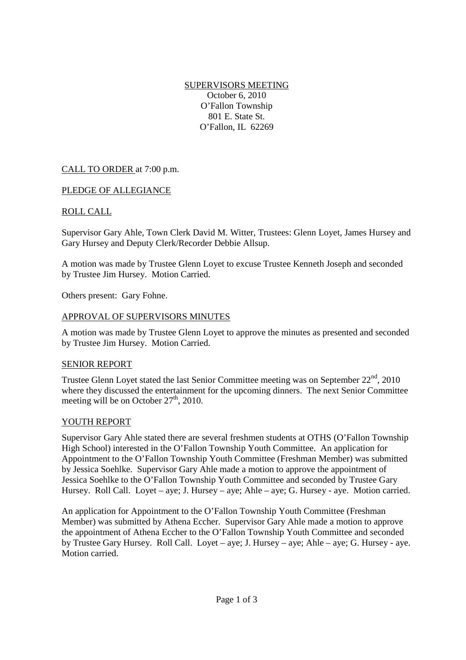SUPERVISORS MEETING October 6, 2010 O'Fallon Township 801 E. State St. O'Fallon, IL 62269

# CALL TO ORDER at 7:00 p.m.

### PLEDGE OF ALLEGIANCE

### ROLL CALL

Supervisor Gary Ahle, Town Clerk David M. Witter, Trustees: Glenn Loyet, James Hursey and Gary Hursey and Deputy Clerk/Recorder Debbie Allsup.

A motion was made by Trustee Glenn Loyet to excuse Trustee Kenneth Joseph and seconded by Trustee Jim Hursey. Motion Carried.

Others present: Gary Fohne.

### APPROVAL OF SUPERVISORS MINUTES

A motion was made by Trustee Glenn Loyet to approve the minutes as presented and seconded by Trustee Jim Hursey. Motion Carried.

### SENIOR REPORT

Trustee Glenn Loyet stated the last Senior Committee meeting was on September  $22<sup>nd</sup>$ , 2010 where they discussed the entertainment for the upcoming dinners. The next Senior Committee meeting will be on October  $27<sup>th</sup>$ , 2010.

### YOUTH REPORT

Supervisor Gary Ahle stated there are several freshmen students at OTHS (O'Fallon Township High School) interested in the O'Fallon Township Youth Committee. An application for Appointment to the O'Fallon Township Youth Committee (Freshman Member) was submitted by Jessica Soehlke. Supervisor Gary Ahle made a motion to approve the appointment of Jessica Soehlke to the O'Fallon Township Youth Committee and seconded by Trustee Gary Hursey. Roll Call. Loyet – aye; J. Hursey – aye; Ahle – aye; G. Hursey - aye. Motion carried.

An application for Appointment to the O'Fallon Township Youth Committee (Freshman Member) was submitted by Athena Eccher. Supervisor Gary Ahle made a motion to approve the appointment of Athena Eccher to the O'Fallon Township Youth Committee and seconded by Trustee Gary Hursey. Roll Call. Loyet – aye; J. Hursey – aye; Ahle – aye; G. Hursey - aye. Motion carried.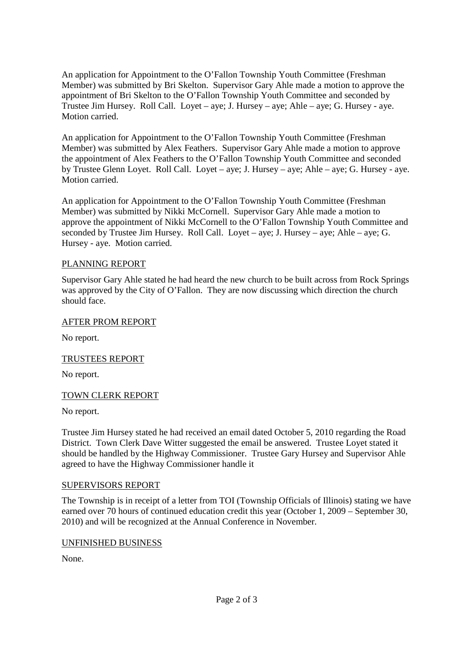An application for Appointment to the O'Fallon Township Youth Committee (Freshman Member) was submitted by Bri Skelton. Supervisor Gary Ahle made a motion to approve the appointment of Bri Skelton to the O'Fallon Township Youth Committee and seconded by Trustee Jim Hursey. Roll Call. Loyet – aye; J. Hursey – aye; Ahle – aye; G. Hursey - aye. Motion carried.

An application for Appointment to the O'Fallon Township Youth Committee (Freshman Member) was submitted by Alex Feathers. Supervisor Gary Ahle made a motion to approve the appointment of Alex Feathers to the O'Fallon Township Youth Committee and seconded by Trustee Glenn Loyet. Roll Call. Loyet – aye; J. Hursey – aye; Ahle – aye; G. Hursey - aye. Motion carried.

An application for Appointment to the O'Fallon Township Youth Committee (Freshman Member) was submitted by Nikki McCornell. Supervisor Gary Ahle made a motion to approve the appointment of Nikki McCornell to the O'Fallon Township Youth Committee and seconded by Trustee Jim Hursey. Roll Call. Loyet – aye; J. Hursey – aye; Ahle – aye; G. Hursey - aye. Motion carried.

# PLANNING REPORT

Supervisor Gary Ahle stated he had heard the new church to be built across from Rock Springs was approved by the City of O'Fallon. They are now discussing which direction the church should face.

### AFTER PROM REPORT

No report.

### TRUSTEES REPORT

No report.

### TOWN CLERK REPORT

No report.

Trustee Jim Hursey stated he had received an email dated October 5, 2010 regarding the Road District. Town Clerk Dave Witter suggested the email be answered. Trustee Loyet stated it should be handled by the Highway Commissioner. Trustee Gary Hursey and Supervisor Ahle agreed to have the Highway Commissioner handle it

#### SUPERVISORS REPORT

The Township is in receipt of a letter from TOI (Township Officials of Illinois) stating we have earned over 70 hours of continued education credit this year (October 1, 2009 – September 30, 2010) and will be recognized at the Annual Conference in November.

### UNFINISHED BUSINESS

None.